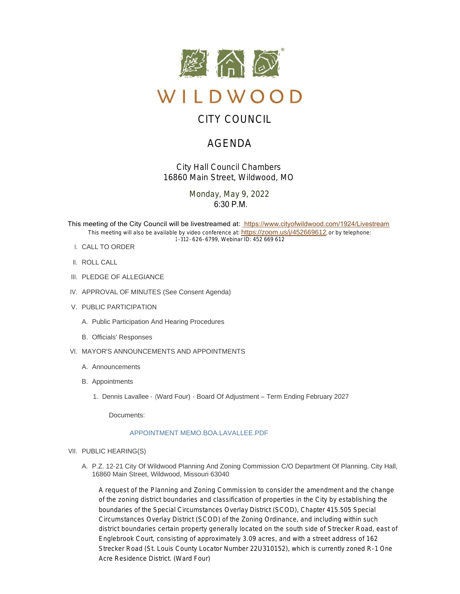

# CITY COUNCIL

# AGENDA

*City Hall Council Chambers 16860 Main Street, Wildwood, MO*

> Monday, May 9, 2022  $6:30$  P.M.

This meeting of the City Council will be livestreamed at: [https://www.cityofwildwood.com/1924/Livestream](https://www.cityofwildwood.com/Admin/AgendaCenter/Agenda/Edit/%20https://www.cityofwildwood.com/1924/Livestream) This meeting will also be available by video conference at: <https://zoom.us/j/452669612>, or by telephone: 1-312-626-6799, Webinar ID: 452 669 612

- CALL TO ORDER I.
- II. ROLL CALL
- III. PLEDGE OF ALLEGIANCE
- IV. APPROVAL OF MINUTES (See Consent Agenda)
- V. PUBLIC PARTICIPATION
	- A. Public Participation And Hearing Procedures
	- B. Officials' Responses
- VI. MAYOR'S ANNOUNCEMENTS AND APPOINTMENTS
	- A. Announcements
	- B. Appointments
		- 1. Dennis Lavallee (Ward Four) Board Of Adjustment Term Ending February 2027

Documents:

# [APPOINTMENT MEMO.BOA.LAVALLEE.PDF](https://www.cityofwildwood.com/AgendaCenter/ViewFile/Item/32606?fileID=34626)

- VII. PUBLIC HEARING(S)
	- A. P.Z. 12-21 City Of Wildwood Planning And Zoning Commission C/O Department Of Planning, City Hall, 16860 Main Street, Wildwood, Missouri 63040

A request of the Planning and Zoning Commission to consider the amendment and the change of the zoning district boundaries and classification of properties in the City by establishing the boundaries of the Special Circumstances Overlay District (SCOD), Chapter 415.505 Special Circumstances Overlay District (SCOD) of the Zoning Ordinance, and including within such district boundaries certain property generally located on the south side of Strecker Road, east of Englebrook Court, consisting of approximately 3.09 acres, and with a street address of 162 Strecker Road (St. Louis County Locator Number 22U310152), which is currently zoned R-1 One Acre Residence District. (Ward Four)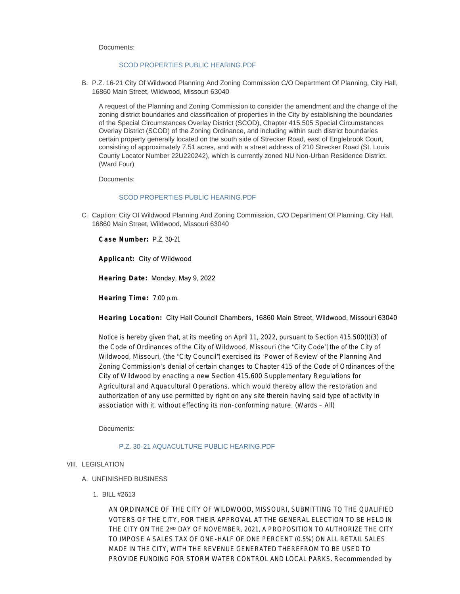Documents:

#### [SCOD PROPERTIES PUBLIC HEARING.PDF](https://www.cityofwildwood.com/AgendaCenter/ViewFile/Item/32586?fileID=34621)

B. P.Z. 16-21 City Of Wildwood Planning And Zoning Commission C/O Department Of Planning, City Hall, 16860 Main Street, Wildwood, Missouri 63040

A request of the Planning and Zoning Commission to consider the amendment and the change of the zoning district boundaries and classification of properties in the City by establishing the boundaries of the Special Circumstances Overlay District (SCOD), Chapter 415.505 Special Circumstances Overlay District (SCOD) of the Zoning Ordinance, and including within such district boundaries certain property generally located on the south side of Strecker Road, east of Englebrook Court, consisting of approximately 7.51 acres, and with a street address of 210 Strecker Road (St. Louis County Locator Number 22U220242), which is currently zoned NU Non-Urban Residence District. (Ward Four)

Documents:

# [SCOD PROPERTIES PUBLIC HEARING.PDF](https://www.cityofwildwood.com/AgendaCenter/ViewFile/Item/32587?fileID=34622)

C. Caption: City Of Wildwood Planning And Zoning Commission, C/O Department Of Planning, City Hall, 16860 Main Street, Wildwood, Missouri 63040

**Case Number:** P.Z. 30-21

**Applicant:** City of Wildwood

**Hearing Date:** Monday, May 9, 2022

**Hearing Time:** 7:00 p.m.

**Hearing Location:** City Hall Council Chambers, 16860 Main Street, Wildwood, Missouri 63040

Notice is hereby given that, at its meeting on April 11, 2022, pursuant to Section 415.500(I)(3) of the Code of Ordinances of the City of Wildwood, Missouri (the "City Code") the of the City of Wildwood, Missouri, (the "City Council") exercised its 'Power of Review' of the Planning And Zoning Commission's denial of certain changes to Chapter 415 of the Code of Ordinances of the City of Wildwood by enacting a new Section 415.600 Supplementary Regulations for Agricultural and Aquacultural Operations, which would thereby allow the restoration and authorization of any use permitted by right on any site therein having said type of activity in association with it, without effecting its non-conforming nature. (Wards – All)

Documents:

# [P.Z. 30-21 AQUACULTURE PUBLIC HEARING.PDF](https://www.cityofwildwood.com/AgendaCenter/ViewFile/Item/32588?fileID=34620)

# VIII. LEGISLATION

- UNFINISHED BUSINESS A.
	- BILL #2613 1.

AN ORDINANCE OF THE CITY OF WILDWOOD, MISSOURI, SUBMITTING TO THE QUALIFIED VOTERS OF THE CITY, FOR THEIR APPROVAL AT THE GENERAL ELECTION TO BE HELD IN THE CITY ON THE 2№ DAY OF NOVEMBER, 2021, A PROPOSITION TO AUTHORIZE THE CITY TO IMPOSE A SALES TAX OF ONE-HALF OF ONE PERCENT (0.5%) ON ALL RETAIL SALES MADE IN THE CITY, WITH THE REVENUE GENERATED THEREFROM TO BE USED TO PROVIDE FUNDING FOR STORM WATER CONTROL AND LOCAL PARKS. *Recommended by*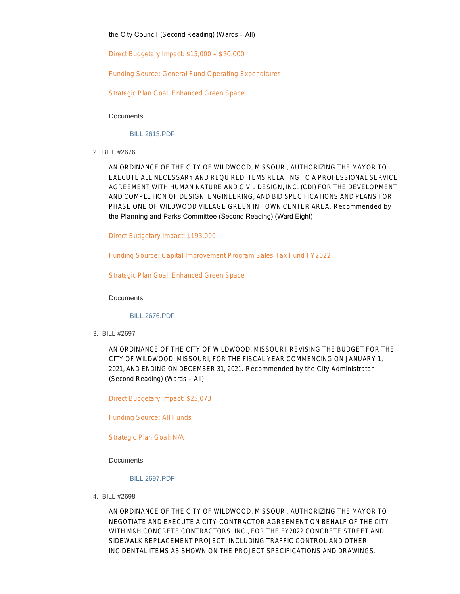the City Council (Second Reading) (Wards – All)

Direct Budgetary Impact: \$15,000 – \$30,000

Funding Source: General Fund Operating Expenditures

Strategic Plan Goal: Enhanced Green Space

Documents:

[BILL 2613.PDF](https://www.cityofwildwood.com/AgendaCenter/ViewFile/Item/32593?fileID=34482)

BILL #2676 2.

AN ORDINANCE OF THE CITY OF WILDWOOD, MISSOURI, AUTHORIZING THE MAYOR TO EXECUTE ALL NECESSARY AND REQUIRED ITEMS RELATING TO A PROFESSIONAL SERVICE AGREEMENT WITH HUMAN NATURE AND CIVIL DESIGN, INC. (CDI) FOR THE DEVELOPMENT AND COMPLETION OF DESIGN, ENGINEERING, AND BID SPECIFICATIONS AND PLANS FOR PHASE ONE OF WILDWOOD VILLAGE GREEN IN TOWN CENTER AREA. *Recommended by*  the Planning and Parks Committee (Second Reading) (Ward Eight)

Direct Budgetary Impact: \$193,000

Funding Source: Capital Improvement Program Sales Tax Fund FY2022

Strategic Plan Goal: Enhanced Green Space

Documents:

[BILL 2676.PDF](https://www.cityofwildwood.com/AgendaCenter/ViewFile/Item/32594?fileID=34483)

BILL #2697 3.

AN ORDINANCE OF THE CITY OF WILDWOOD, MISSOURI, REVISING THE BUDGET FOR THE CITY OF WILDWOOD, MISSOURI, FOR THE FISCAL YEAR COMMENCING ON JANUARY 1, 2021, AND ENDING ON DECEMBER 31, 2021. *Recommended by the City Administrator* (Second Reading) (Wards – All)

Direct Budgetary Impact: \$25,073

Funding Source: All Funds

Strategic Plan Goal: N/A

Documents:

# [BILL 2697.PDF](https://www.cityofwildwood.com/AgendaCenter/ViewFile/Item/32595?fileID=34484)

BILL #2698 4.

AN ORDINANCE OF THE CITY OF WILDWOOD, MISSOURI, AUTHORIZING THE MAYOR TO NEGOTIATE AND EXECUTE A CITY-CONTRACTOR AGREEMENT ON BEHALF OF THE CITY WITH M&H CONCRETE CONTRACTORS, INC., FOR THE FY2022 CONCRETE STREET AND SIDEWALK REPLACEMENT PROJECT, INCLUDING TRAFFIC CONTROL AND OTHER INCIDENTAL ITEMS AS SHOWN ON THE PROJECT SPECIFICATIONS AND DRAWINGS.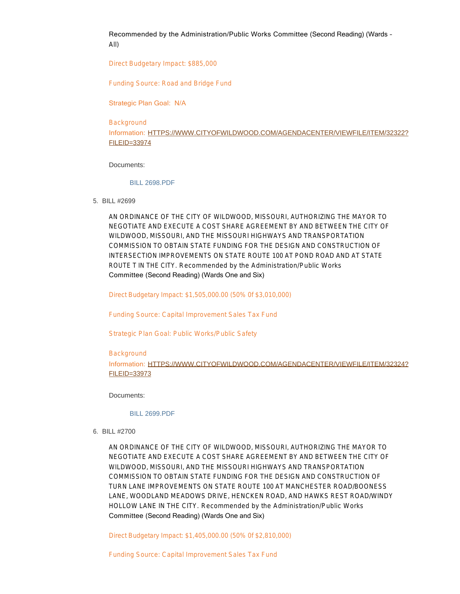Recommended by the Administration/Public Works Committee (Second Reading) (Wards – All)

Direct Budgetary Impact: \$885,000

Funding Source: Road and Bridge Fund

Strategic Plan Goal: N/A

### **Background**

Information: [HTTPS://WWW.CITYOFWILDWOOD.COM/AGENDACENTER/VIEWFILE/ITEM/32322?](https://www.cityofwildwood.com/AgendaCenter/ViewFile/Item/32322?fileID=33974) FILEID=33974

# Documents:

# [BILL 2698.PDF](https://www.cityofwildwood.com/AgendaCenter/ViewFile/Item/32596?fileID=34485)

BILL #2699 5.

AN ORDINANCE OF THE CITY OF WILDWOOD, MISSOURI, AUTHORIZING THE MAYOR TO NEGOTIATE AND EXECUTE A COST SHARE AGREEMENT BY AND BETWEEN THE CITY OF WILDWOOD, MISSOURI, AND THE MISSOURI HIGHWAYS AND TRANSPORTATION COMMISSION TO OBTAIN STATE FUNDING FOR THE DESIGN AND CONSTRUCTION OF INTERSECTION IMPROVEMENTS ON STATE ROUTE 100 AT POND ROAD AND AT STATE ROUTE T IN THE CITY. *Recommended by the Administration/Public Works*  Committee (Second Reading) (Wards One and Six)

Direct Budgetary Impact: \$1,505,000.00 (50% 0f \$3,010,000)

Funding Source: Capital Improvement Sales Tax Fund

Strategic Plan Goal: Public Works/Public Safety

#### **Background**

Information: [HTTPS://WWW.CITYOFWILDWOOD.COM/AGENDACENTER/VIEWFILE/ITEM/32324?](https://www.cityofwildwood.com/AgendaCenter/ViewFile/Item/32324?fileID=33973) FILEID=33973

Documents:

#### [BILL 2699.PDF](https://www.cityofwildwood.com/AgendaCenter/ViewFile/Item/32597?fileID=34486)

BILL #2700 6.

AN ORDINANCE OF THE CITY OF WILDWOOD, MISSOURI, AUTHORIZING THE MAYOR TO NEGOTIATE AND EXECUTE A COST SHARE AGREEMENT BY AND BETWEEN THE CITY OF WILDWOOD, MISSOURI, AND THE MISSOURI HIGHWAYS AND TRANSPORTATION COMMISSION TO OBTAIN STATE FUNDING FOR THE DESIGN AND CONSTRUCTION OF TURN LANE IMPROVEMENTS ON STATE ROUTE 100 AT MANCHESTER ROAD/BOONESS LANE, WOODLAND MEADOWS DRIVE, HENCKEN ROAD, AND HAWKS REST ROAD/WINDY HOLLOW LANE IN THE CITY. *Recommended by the Administration/Public Works*  Committee (Second Reading) (Wards One and Six)

Direct Budgetary Impact: \$1,405,000.00 (50% 0f \$2,810,000)

Funding Source: Capital Improvement Sales Tax Fund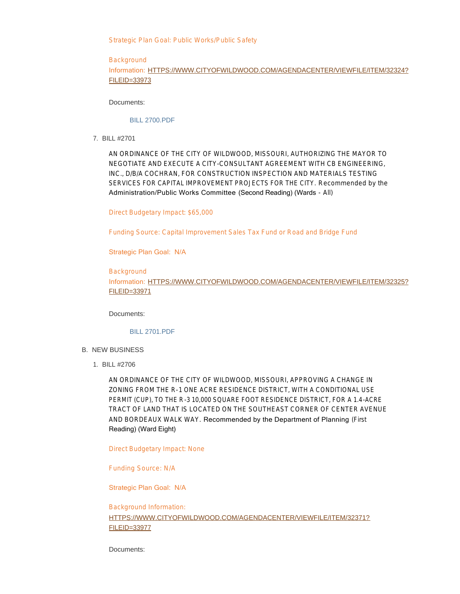Strategic Plan Goal: Public Works/Public Safety

# **Background**

# Information: [HTTPS://WWW.CITYOFWILDWOOD.COM/AGENDACENTER/VIEWFILE/ITEM/32324?](https://www.cityofwildwood.com/AgendaCenter/ViewFile/Item/32324?fileID=33973) FILEID=33973

Documents:

# [BILL 2700.PDF](https://www.cityofwildwood.com/AgendaCenter/ViewFile/Item/32598?fileID=34487)

BILL #2701 7.

AN ORDINANCE OF THE CITY OF WILDWOOD, MISSOURI, AUTHORIZING THE MAYOR TO NEGOTIATE AND EXECUTE A CITY-CONSULTANT AGREEMENT WITH CB ENGINEERING, INC., D/B/A COCHRAN, FOR CONSTRUCTION INSPECTION AND MATERIALS TESTING SERVICES FOR CAPITAL IMPROVEMENT PROJECTS FOR THE CITY. *Recommended by the*  Administration/Public Works Committee (Second Reading) (Wards - All)

Direct Budgetary Impact: \$65,000

Funding Source: Capital Improvement Sales Tax Fund or Road and Bridge Fund

Strategic Plan Goal: N/A

**Background** Information: [HTTPS://WWW.CITYOFWILDWOOD.COM/AGENDACENTER/VIEWFILE/ITEM/32325?](https://www.cityofwildwood.com/AgendaCenter/ViewFile/Item/32325?fileID=33971) FILEID=33971

Documents:

# [BILL 2701.PDF](https://www.cityofwildwood.com/AgendaCenter/ViewFile/Item/32599?fileID=34488)

- B. NEW BUSINESS
	- BILL #2706 1.

AN ORDINANCE OF THE CITY OF WILDWOOD, MISSOURI, APPROVING A CHANGE IN ZONING FROM THE R-1 ONE ACRE RESIDENCE DISTRICT, WITH A CONDITIONAL USE PERMIT (CUP), TO THE R-3 10,000 SQUARE FOOT RESIDENCE DISTRICT, FOR A 1.4-ACRE TRACT OF LAND THAT IS LOCATED ON THE SOUTHEAST CORNER OF CENTER AVENUE AND BORDEAUX WALK WAY. Recommended by the Department of Planning (First Reading) (Ward Eight)

Direct Budgetary Impact: None

Funding Source: N/A

Strategic Plan Goal: N/A

Background Information: [HTTPS://WWW.CITYOFWILDWOOD.COM/AGENDACENTER/VIEWFILE/ITEM/32371?](https://www.cityofwildwood.com/AgendaCenter/ViewFile/Item/32371?fileID=33977) FILEID=33977

Documents: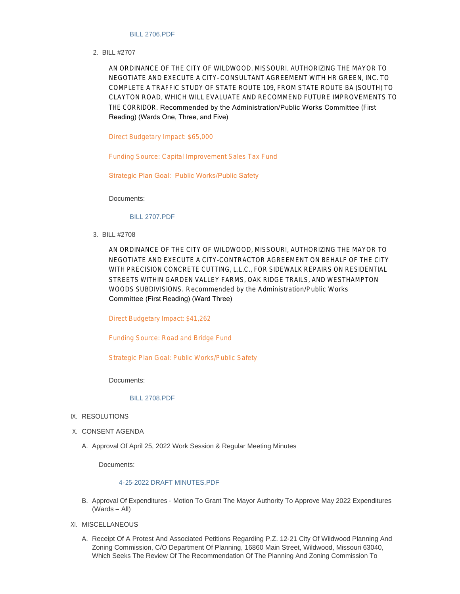#### [BILL 2706.PDF](https://www.cityofwildwood.com/AgendaCenter/ViewFile/Item/32600?fileID=34623)

BILL #2707 2.

AN ORDINANCE OF THE CITY OF WILDWOOD, MISSOURI, AUTHORIZING THE MAYOR TO NEGOTIATE AND EXECUTE A CITY– CONSULTANT AGREEMENT WITH HR GREEN, INC. TO COMPLETE A TRAFFIC STUDY OF STATE ROUTE 109, FROM STATE ROUTE BA (SOUTH) TO CLAYTON ROAD, WHICH WILL EVALUATE AND RECOMMEND FUTURE IMPROVEMENTS TO THE CORRIDOR. Recommended by the Administration/Public Works Committee (First Reading) (Wards One, Three, and Five)

Direct Budgetary Impact: \$65,000

Funding Source: Capital Improvement Sales Tax Fund

Strategic Plan Goal: Public Works/Public Safety

Documents:

#### [BILL 2707.PDF](https://www.cityofwildwood.com/AgendaCenter/ViewFile/Item/32601?fileID=34601)

BILL #2708 3.

AN ORDINANCE OF THE CITY OF WILDWOOD, MISSOURI, AUTHORIZING THE MAYOR TO NEGOTIATE AND EXECUTE A CITY-CONTRACTOR AGREEMENT ON BEHALF OF THE CITY WITH PRECISION CONCRETE CUTTING, L.L.C., FOR SIDEWALK REPAIRS ON RESIDENTIAL STREETS WITHIN GARDEN VALLEY FARMS, OAK RIDGE TRAILS, AND WESTHAMPTON WOODS SUBDIVISIONS. *Recommended by the Administration/Public Works*  Committee (First Reading) (Ward Three)

Direct Budgetary Impact: \$41,262

Funding Source: Road and Bridge Fund

Strategic Plan Goal: Public Works/Public Safety

Documents:

[BILL 2708.PDF](https://www.cityofwildwood.com/AgendaCenter/ViewFile/Item/32602?fileID=34602)

- IX. RESOLUTIONS
- X. CONSENT AGENDA
	- A. Approval Of April 25, 2022 Work Session & Regular Meeting Minutes

Documents:

# [4-25-2022 DRAFT MINUTES.PDF](https://www.cityofwildwood.com/AgendaCenter/ViewFile/Item/32589?fileID=34481)

- B. Approval Of Expenditures Motion To Grant The Mayor Authority To Approve May 2022 Expenditures (Wards – All)
- XI. MISCELLANEOUS
	- A. Receipt Of A Protest And Associated Petitions Regarding P.Z. 12-21 City Of Wildwood Planning And Zoning Commission, C/O Department Of Planning, 16860 Main Street, Wildwood, Missouri 63040, Which Seeks The Review Of The Recommendation Of The Planning And Zoning Commission To